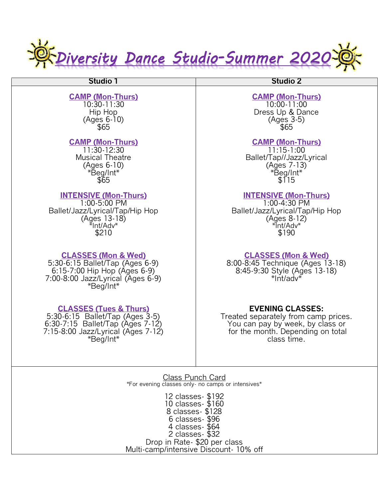*Diversity Dance Studio-Summer 2020* 

#### **CAMP (Mon-Thurs)**

10:30-11:30 Hip Hop (Ages 6-10) \$65

#### **CAMP (Mon-Thurs)**

11:30-12:30 Musical Theatre (Ages 6-10) \*Beg/Int\* \$65

#### **INTENSIVE (Mon-Thurs)**

1:00-5:00 PM Ballet/Jazz/Lyrical/Tap/Hip Hop (Ages 13-18) \*Int/Adv\* \$210

#### **CLASSES (Mon & Wed)**

5:30-6:15 Ballet/Tap (Ages 6-9) 6:15-7:00 Hip Hop (Ages 6-9) 7:00-8:00 Jazz/Lyrical (Ages 6-9) \*Beg/Int\*

#### **CLASSES (Tues & Thurs)**

5:30-6:15 Ballet/Tap (Ages 3-5) 6:30-7:15 Ballet/Tap (Ages 7-12) 7:15-8:00 Jazz/Lyrical (Ages 7-12) \*Beg/Int\*

**Studio 1 Studio 2**

#### **CAMP (Mon-Thurs)**

10:00-11:00 Dress Up & Dance (Ages 3-5) \$65

### **CAMP (Mon-Thurs)**

11:15-1:00 Ballet/Tap//Jazz/Lyrical (Ages 7-13) \*Beg/Int\* \$115

#### **INTENSIVE (Mon-Thurs)**

1:00-4:30 PM Ballet/Jazz/Lyrical/Tap/Hip Hop (Ages 8-12) \*Int/Adv\* \$190

#### **CLASSES (Mon & Wed)**

8:00-8:45 Technique (Ages 13-18) 8:45-9:30 Style (Ages 13-18) \*Int/adv\*

#### **EVENING CLASSES:**

Treated separately from camp prices. You can pay by week, by class or for the month. Depending on total class time.

Class Punch Card \*For evening classes only- no camps or intensives\*

12 classes- \$192 10 classes- \$160 8 classes- \$128 6 classes- \$96 4 classes- \$64 2 classes- \$32 Drop in Rate- \$20 per class Multi-camp/intensive Discount- 10% off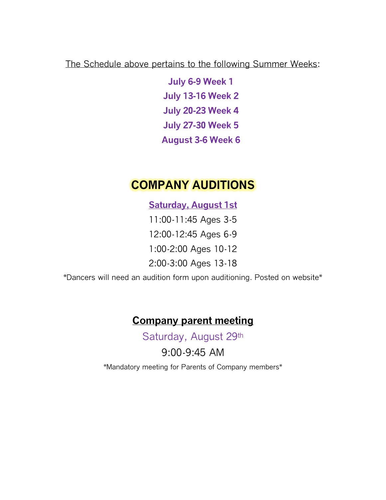The Schedule above pertains to the following Summer Weeks:

**July 6-9 Week 1 July 13-16 Week 2 July 20-23 Week 4 July 27-30 Week 5 August 3-6 Week 6** 

### **COMPANY AUDITIONS**

**Saturday, August 1st** 11:00-11:45 Ages 3-5 12:00-12:45 Ages 6-9

1:00-2:00 Ages 10-12

2:00-3:00 Ages 13-18

\*Dancers will need an audition form upon auditioning. Posted on website\*

## **Company parent meeting**

Saturday, August 29th

9:00-9:45 AM

\*Mandatory meeting for Parents of Company members\*